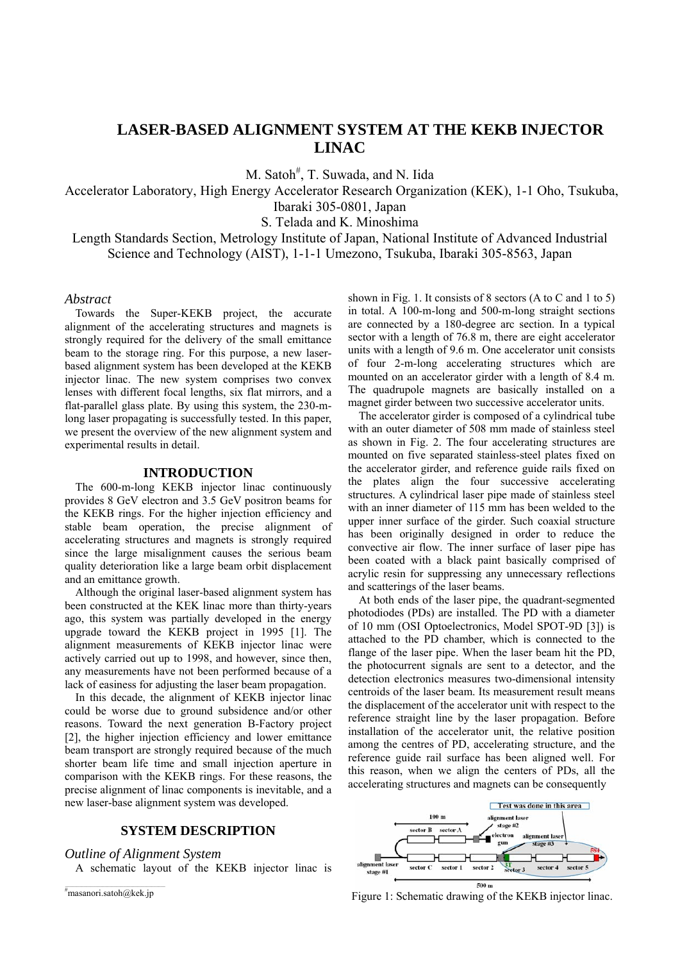# **LASER-BASED ALIGNMENT SYSTEM AT THE KEKB INJECTOR LINAC**

M. Satoh<sup>#</sup>, T. Suwada, and N. Iida

Accelerator Laboratory, High Energy Accelerator Research Organization (KEK), 1-1 Oho, Tsukuba,

Ibaraki 305-0801, Japan

S. Telada and K. Minoshima

Length Standards Section, Metrology Institute of Japan, National Institute of Advanced Industrial Science and Technology (AIST), 1-1-1 Umezono, Tsukuba, Ibaraki 305-8563, Japan

## *Abstract*

Towards the Super-KEKB project, the accurate alignment of the accelerating structures and magnets is strongly required for the delivery of the small emittance beam to the storage ring. For this purpose, a new laserbased alignment system has been developed at the KEKB injector linac. The new system comprises two convex lenses with different focal lengths, six flat mirrors, and a flat-parallel glass plate. By using this system, the 230-mlong laser propagating is successfully tested. In this paper, we present the overview of the new alignment system and experimental results in detail.

## **INTRODUCTION**

The 600-m-long KEKB injector linac continuously provides 8 GeV electron and 3.5 GeV positron beams for the KEKB rings. For the higher injection efficiency and stable beam operation, the precise alignment of accelerating structures and magnets is strongly required since the large misalignment causes the serious beam quality deterioration like a large beam orbit displacement and an emittance growth.

Although the original laser-based alignment system has been constructed at the KEK linac more than thirty-years ago, this system was partially developed in the energy upgrade toward the KEKB project in 1995 [1]. The alignment measurements of KEKB injector linac were actively carried out up to 1998, and however, since then, any measurements have not been performed because of a lack of easiness for adjusting the laser beam propagation.

In this decade, the alignment of KEKB injector linac could be worse due to ground subsidence and/or other reasons. Toward the next generation B-Factory project [2], the higher injection efficiency and lower emittance beam transport are strongly required because of the much shorter beam life time and small injection aperture in comparison with the KEKB rings. For these reasons, the precise alignment of linac components is inevitable, and a new laser-base alignment system was developed.

## **SYSTEM DESCRIPTION**

## *Outline of Alignment System*

A schematic layout of the KEKB injector linac is

shown in Fig. 1. It consists of 8 sectors (A to C and 1 to 5) in total. A 100-m-long and 500-m-long straight sections are connected by a 180-degree arc section. In a typical sector with a length of 76.8 m, there are eight accelerator units with a length of 9.6 m. One accelerator unit consists of four 2-m-long accelerating structures which are mounted on an accelerator girder with a length of 8.4 m. The quadrupole magnets are basically installed on a magnet girder between two successive accelerator units.

The accelerator girder is composed of a cylindrical tube with an outer diameter of 508 mm made of stainless steel as shown in Fig. 2. The four accelerating structures are mounted on five separated stainless-steel plates fixed on the accelerator girder, and reference guide rails fixed on the plates align the four successive accelerating structures. A cylindrical laser pipe made of stainless steel with an inner diameter of 115 mm has been welded to the upper inner surface of the girder. Such coaxial structure has been originally designed in order to reduce the convective air flow. The inner surface of laser pipe has been coated with a black paint basically comprised of acrylic resin for suppressing any unnecessary reflections and scatterings of the laser beams.

At both ends of the laser pipe, the quadrant-segmented photodiodes (PDs) are installed. The PD with a diameter of 10 mm (OSI Optoelectronics, Model SPOT-9D [3]) is attached to the PD chamber, which is connected to the flange of the laser pipe. When the laser beam hit the PD, the photocurrent signals are sent to a detector, and the detection electronics measures two-dimensional intensity centroids of the laser beam. Its measurement result means the displacement of the accelerator unit with respect to the reference straight line by the laser propagation. Before installation of the accelerator unit, the relative position among the centres of PD, accelerating structure, and the reference guide rail surface has been aligned well. For this reason, when we align the centers of PDs, all the accelerating structures and magnets can be consequently



Figure 1: Schematic drawing of the KEKB injector linac.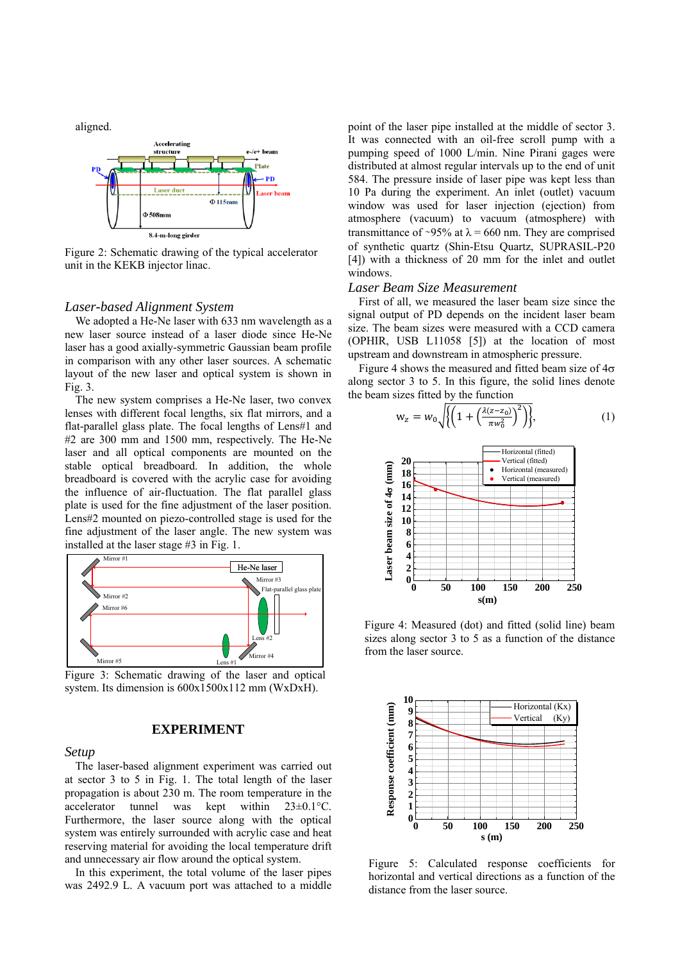aligned.



Figure 2: Schematic drawing of the typical accelerator unit in the KEKB injector linac.

## *Laser-based Alignment System*

We adopted a He-Ne laser with 633 nm wavelength as a new laser source instead of a laser diode since He-Ne laser has a good axially-symmetric Gaussian beam profile in comparison with any other laser sources. A schematic layout of the new laser and optical system is shown in Fig. 3.

The new system comprises a He-Ne laser, two convex lenses with different focal lengths, six flat mirrors, and a flat-parallel glass plate. The focal lengths of Lens#1 and #2 are 300 mm and 1500 mm, respectively. The He-Ne laser and all optical components are mounted on the stable optical breadboard. In addition, the whole breadboard is covered with the acrylic case for avoiding the influence of air-fluctuation. The flat parallel glass plate is used for the fine adjustment of the laser position. Lens#2 mounted on piezo-controlled stage is used for the fine adjustment of the laser angle. The new system was installed at the laser stage #3 in Fig. 1.



Figure 3: Schematic drawing of the laser and optical system. Its dimension is 600x1500x112 mm (WxDxH).

## **EXPERIMENT**

#### *Setup*

The laser-based alignment experiment was carried out at sector 3 to 5 in Fig. 1. The total length of the laser propagation is about 230 m. The room temperature in the accelerator tunnel was kept within  $23\pm0.1^{\circ}$ C. Furthermore, the laser source along with the optical system was entirely surrounded with acrylic case and heat reserving material for avoiding the local temperature drift and unnecessary air flow around the optical system.

In this experiment, the total volume of the laser pipes was 2492.9 L. A vacuum port was attached to a middle

point of the laser pipe installed at the middle of sector 3. It was connected with an oil-free scroll pump with a pumping speed of 1000 L/min. Nine Pirani gages were distributed at almost regular intervals up to the end of unit 584. The pressure inside of laser pipe was kept less than 10 Pa during the experiment. An inlet (outlet) vacuum window was used for laser injection (ejection) from atmosphere (vacuum) to vacuum (atmosphere) with transmittance of ~95% at  $\lambda$  = 660 nm. They are comprised of synthetic quartz (Shin-Etsu Quartz, SUPRASIL-P20 [4]) with a thickness of 20 mm for the inlet and outlet windows.

## *Laser Beam Size Measurement*

First of all, we measured the laser beam size since the signal output of PD depends on the incident laser beam size. The beam sizes were measured with a CCD camera (OPHIR, USB L11058 [5]) at the location of most upstream and downstream in atmospheric pressure.

Figure 4 shows the measured and fitted beam size of  $4\sigma$ along sector 3 to 5. In this figure, the solid lines denote the beam sizes fitted by the function





Figure 4: Measured (dot) and fitted (solid line) beam sizes along sector 3 to 5 as a function of the distance from the laser source.



Figure 5: Calculated response coefficients for horizontal and vertical directions as a function of the distance from the laser source.